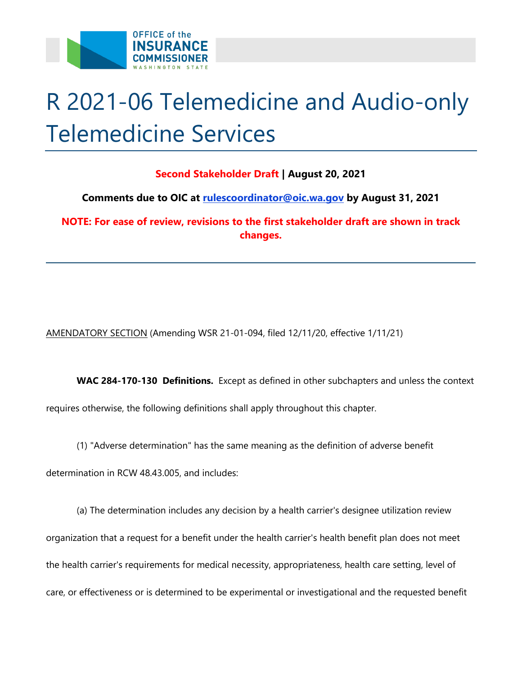

## R 2021-06 Telemedicine and Audio-only Telemedicine Services

## **Second Stakeholder Draft | August 20, 2021**

 **Comments due to OIC at [rulescoordinator@oic.wa.gov](mailto:rulescoordinator@oic.wa.gov) by August 31, 2021** 

**NOTE: For ease of review, revisions to the first stakeholder draft are shown in track changes.** 

AMENDATORY SECTION (Amending WSR 21-01-094, filed 12/11/20, effective 1/11/21)

 **WAC 284-170-130 Definitions.** Except as defined in other subchapters and unless the context requires otherwise, the following definitions shall apply throughout this chapter.

(1) "Adverse determination" has the same meaning as the definition of adverse benefit

determination in RCW 48.43.005, and includes:

(a) The determination includes any decision by a health carrier's designee utilization review organization that a request for a benefit under the health carrier's health benefit plan does not meet the health carrier's requirements for medical necessity, appropriateness, health care setting, level of care, or effectiveness or is determined to be experimental or investigational and the requested benefit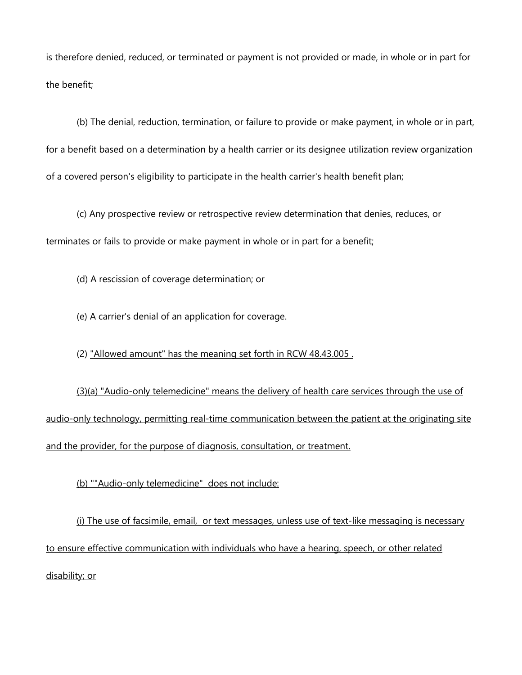is therefore denied, reduced, or terminated or payment is not provided or made, in whole or in part for the benefit;

(b) The denial, reduction, termination, or failure to provide or make payment, in whole or in part, for a benefit based on a determination by a health carrier or its designee utilization review organization of a covered person's eligibility to participate in the health carrier's health benefit plan;

 (c) Any prospective review or retrospective review determination that denies, reduces, or terminates or fails to provide or make payment in whole or in part for a benefit;

(d) A rescission of coverage determination; or

(e) A carrier's denial of an application for coverage.

(2) "Allowed amount" has the meaning set forth in RCW 48.43.005 .

(3)(a) "Audio-only telemedicine" means the delivery of health care services through the use of audio-only technology, permitting real-time communication between the patient at the originating site and the provider, for the purpose of diagnosis, consultation, or treatment.

(b) ""Audio-only telemedicine" does not include:

(i) The use of facsimile, email, or text messages, unless use of text-like messaging is necessary to ensure effective communication with individuals who have a hearing, speech, or other related disability; or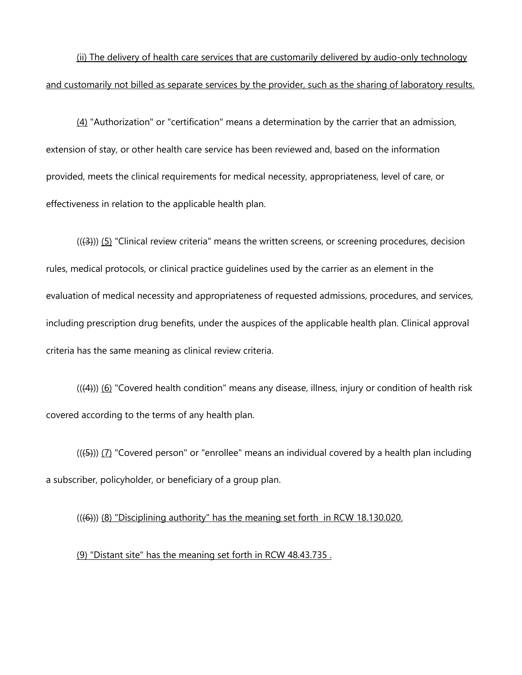(ii) The delivery of health care services that are customarily delivered by audio-only technology and customarily not billed as separate services by the provider, such as the sharing of laboratory results.

 $(4)$  "Authorization" or "certification" means a determination by the carrier that an admission, extension of stay, or other health care service has been reviewed and, based on the information provided, meets the clinical requirements for medical necessity, appropriateness, level of care, or effectiveness in relation to the applicable health plan.

 $((3))$  (5) "Clinical review criteria" means the written screens, or screening procedures, decision rules, medical protocols, or clinical practice guidelines used by the carrier as an element in the evaluation of medical necessity and appropriateness of requested admissions, procedures, and services, including prescription drug benefits, under the auspices of the applicable health plan. Clinical approval criteria has the same meaning as clinical review criteria.

 $((4))$  (6) "Covered health condition" means any disease, illness, injury or condition of health risk covered according to the terms of any health plan.

 $((4)$ )) (7) "Covered person" or "enrollee" means an individual covered by a health plan including a subscriber, policyholder, or beneficiary of a group plan.

 $((46))$  ( $(8)$  "Disciplining authority" has the meaning set forth in RCW 18.130.020.

(9) "Distant site" has the meaning set forth in RCW 48.43.735 .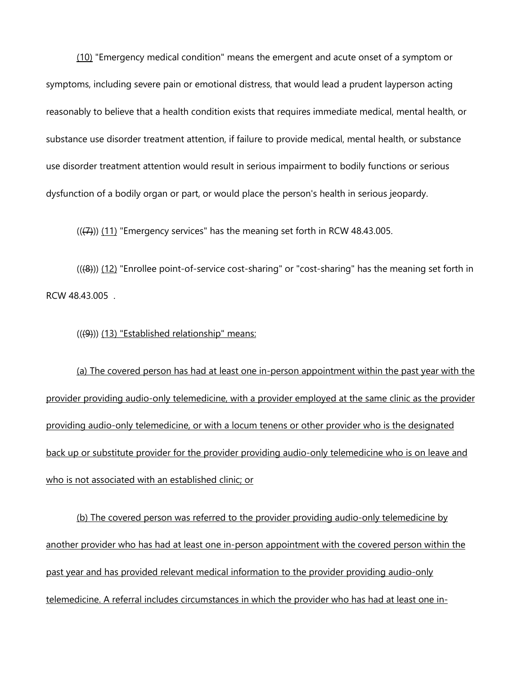(10) "Emergency medical condition" means the emergent and acute onset of a symptom or symptoms, including severe pain or emotional distress, that would lead a prudent layperson acting reasonably to believe that a health condition exists that requires immediate medical, mental health, or substance use disorder treatment attention, if failure to provide medical, mental health, or substance use disorder treatment attention would result in serious impairment to bodily functions or serious dysfunction of a bodily organ or part, or would place the person's health in serious jeopardy.

 $((2))$  (11) "Emergency services" has the meaning set forth in RCW 48.43.005.

 $(((8))$  (12) "Enrollee point-of-service cost-sharing" or "cost-sharing" has the meaning set forth in RCW 48.43.005 .

(((9))) (13) "Established relationship" means:

 providing audio-only telemedicine, or with a locum tenens or other provider who is the designated (a) The covered person has had at least one in-person appointment within the past year with the provider providing audio-only telemedicine, with a provider employed at the same clinic as the provider back up or substitute provider for the provider providing audio-only telemedicine who is on leave and who is not associated with an established clinic; or

(b) The covered person was referred to the provider providing audio-only telemedicine by another provider who has had at least one in-person appointment with the covered person within the past year and has provided relevant medical information to the provider providing audio-only telemedicine. A referral includes circumstances in which the provider who has had at least one in-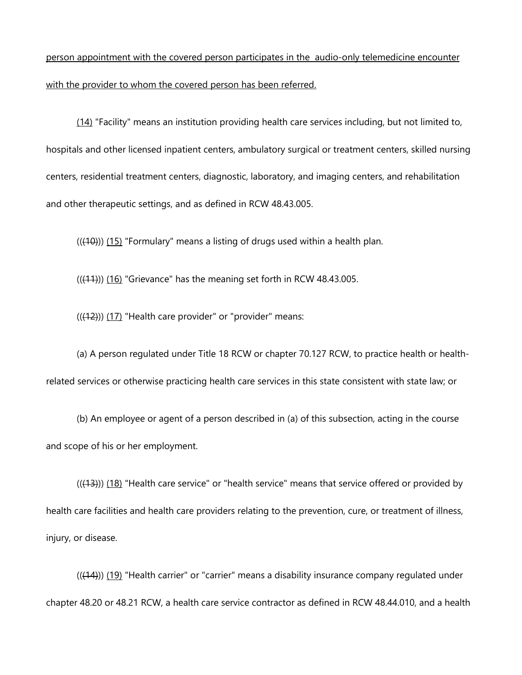person appointment with the covered person participates in the audio-only telemedicine encounter with the provider to whom the covered person has been referred.

(14) "Facility" means an institution providing health care services including, but not limited to, hospitals and other licensed inpatient centers, ambulatory surgical or treatment centers, skilled nursing centers, residential treatment centers, diagnostic, laboratory, and imaging centers, and rehabilitation and other therapeutic settings, and as defined in RCW 48.43.005.

 $(((10)))(15)$  "Formulary" means a listing of drugs used within a health plan.

 $(((11)))(16)$  "Grievance" has the meaning set forth in RCW 48.43.005.

 $((12))$  (17) "Health care provider" or "provider" means:

(a) A person regulated under Title 18 RCW or chapter 70.127 RCW, to practice health or healthrelated services or otherwise practicing health care services in this state consistent with state law; or

(b) An employee or agent of a person described in (a) of this subsection, acting in the course and scope of his or her employment.

 $((+3))$  (18) "Health care service" or "health service" means that service offered or provided by health care facilities and health care providers relating to the prevention, cure, or treatment of illness, injury, or disease.

 $(((14)))(19)$  "Health carrier" or "carrier" means a disability insurance company regulated under chapter 48.20 or 48.21 RCW, a health care service contractor as defined in RCW 48.44.010, and a health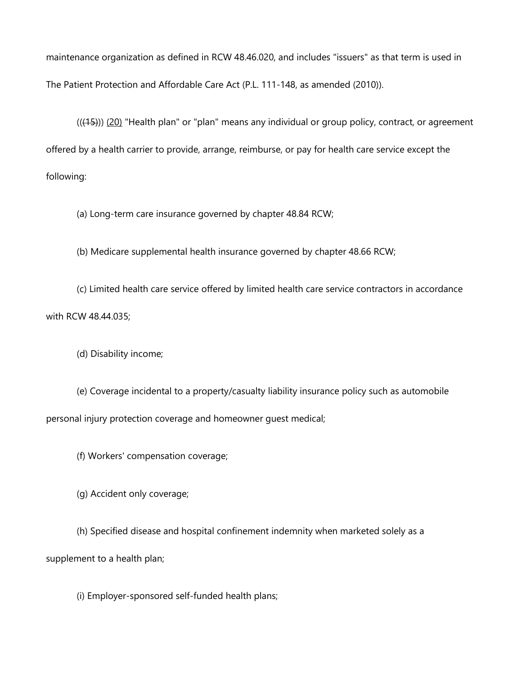maintenance organization as defined in RCW 48.46.020, and includes "issuers" as that term is used in The Patient Protection and Affordable Care Act (P.L. 111-148, as amended (2010)).

 $((45))$  (20) "Health plan" or "plan" means any individual or group policy, contract, or agreement offered by a health carrier to provide, arrange, reimburse, or pay for health care service except the following:

(a) Long-term care insurance governed by chapter 48.84 RCW;

(b) Medicare supplemental health insurance governed by chapter 48.66 RCW;

(c) Limited health care service offered by limited health care service contractors in accordance with RCW 48.44.035;

(d) Disability income;

(e) Coverage incidental to a property/casualty liability insurance policy such as automobile personal injury protection coverage and homeowner guest medical;

(f) Workers' compensation coverage;

(g) Accident only coverage;

 (h) Specified disease and hospital confinement indemnity when marketed solely as a supplement to a health plan;

(i) Employer-sponsored self-funded health plans;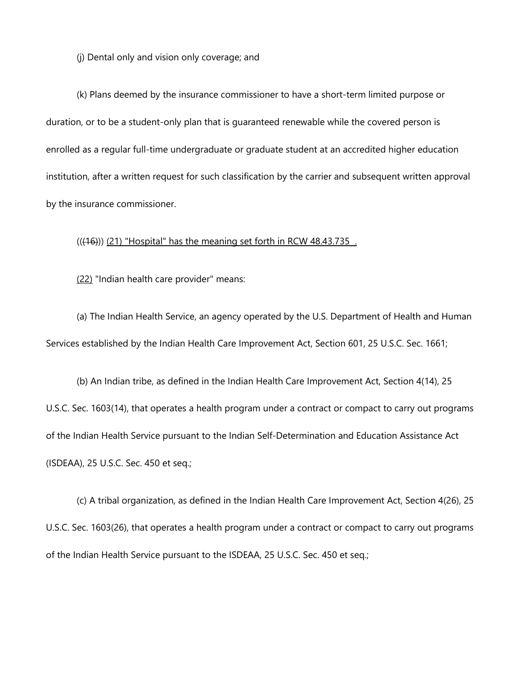(j) Dental only and vision only coverage; and

(k) Plans deemed by the insurance commissioner to have a short-term limited purpose or duration, or to be a student-only plan that is guaranteed renewable while the covered person is enrolled as a regular full-time undergraduate or graduate student at an accredited higher education institution, after a written request for such classification by the carrier and subsequent written approval by the insurance commissioner.

 $(((16)))$   $(21)$  "Hospital" has the meaning set forth in RCW 48.43.735.

(22) "Indian health care provider" means:

(a) The Indian Health Service, an agency operated by the U.S. Department of Health and Human Services established by the Indian Health Care Improvement Act, Section 601, 25 U.S.C. Sec. 1661;

 (b) An Indian tribe, as defined in the Indian Health Care Improvement Act, Section 4(14), 25 U.S.C. Sec. 1603(14), that operates a health program under a contract or compact to carry out programs of the Indian Health Service pursuant to the Indian Self-Determination and Education Assistance Act (ISDEAA), 25 U.S.C. Sec. 450 et seq.;

(c) A tribal organization, as defined in the Indian Health Care Improvement Act, Section 4(26), 25 U.S.C. Sec. 1603(26), that operates a health program under a contract or compact to carry out programs of the Indian Health Service pursuant to the ISDEAA, 25 U.S.C. Sec. 450 et seq.;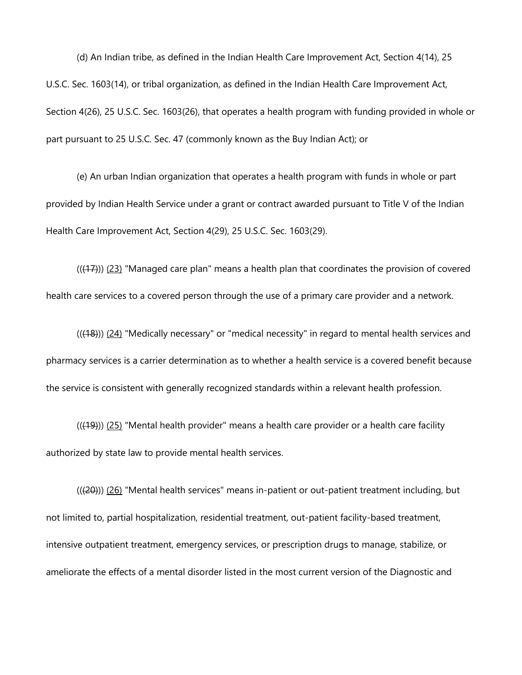(d) An Indian tribe, as defined in the Indian Health Care Improvement Act, Section 4(14), 25 U.S.C. Sec. 1603(14), or tribal organization, as defined in the Indian Health Care Improvement Act, Section 4(26), 25 U.S.C. Sec. 1603(26), that operates a health program with funding provided in whole or part pursuant to 25 U.S.C. Sec. 47 (commonly known as the Buy Indian Act); or

(e) An urban Indian organization that operates a health program with funds in whole or part provided by Indian Health Service under a grant or contract awarded pursuant to Title V of the Indian Health Care Improvement Act, Section 4(29), 25 U.S.C. Sec. 1603(29).

 $((+7))$   $(23)$  "Managed care plan" means a health plan that coordinates the provision of covered health care services to a covered person through the use of a primary care provider and a network.

 $((48))$  (24) "Medically necessary" or "medical necessity" in regard to mental health services and pharmacy services is a carrier determination as to whether a health service is a covered benefit because the service is consistent with generally recognized standards within a relevant health profession.

 $((49))$   $(25)$  "Mental health provider" means a health care provider or a health care facility authorized by state law to provide mental health services.

 ameliorate the effects of a mental disorder listed in the most current version of the Diagnostic and (((20))) (26) "Mental health services" means in-patient or out-patient treatment including, but not limited to, partial hospitalization, residential treatment, out-patient facility-based treatment, intensive outpatient treatment, emergency services, or prescription drugs to manage, stabilize, or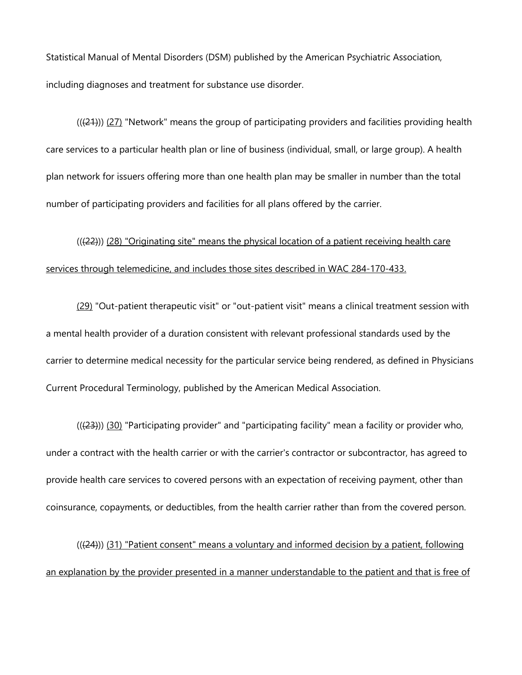Statistical Manual of Mental Disorders (DSM) published by the American Psychiatric Association, including diagnoses and treatment for substance use disorder.

 $((21))$  (27) "Network" means the group of participating providers and facilities providing health care services to a particular health plan or line of business (individual, small, or large group). A health plan network for issuers offering more than one health plan may be smaller in number than the total number of participating providers and facilities for all plans offered by the carrier.

(((22))) (28) "Originating site" means the physical location of a patient receiving health care services through telemedicine, and includes those sites described in WAC 284-170-433.

(29) "Out-patient therapeutic visit" or "out-patient visit" means a clinical treatment session with a mental health provider of a duration consistent with relevant professional standards used by the carrier to determine medical necessity for the particular service being rendered, as defined in Physicians Current Procedural Terminology, published by the American Medical Association.

((<del>(23)</del>)) <u>(30)</u> "Participating provider" and "participating facility" mean a facility or provider who, under a contract with the health carrier or with the carrier's contractor or subcontractor, has agreed to provide health care services to covered persons with an expectation of receiving payment, other than coinsurance, copayments, or deductibles, from the health carrier rather than from the covered person.

 $((24))$  (31) "Patient consent" means a voluntary and informed decision by a patient, following an explanation by the provider presented in a manner understandable to the patient and that is free of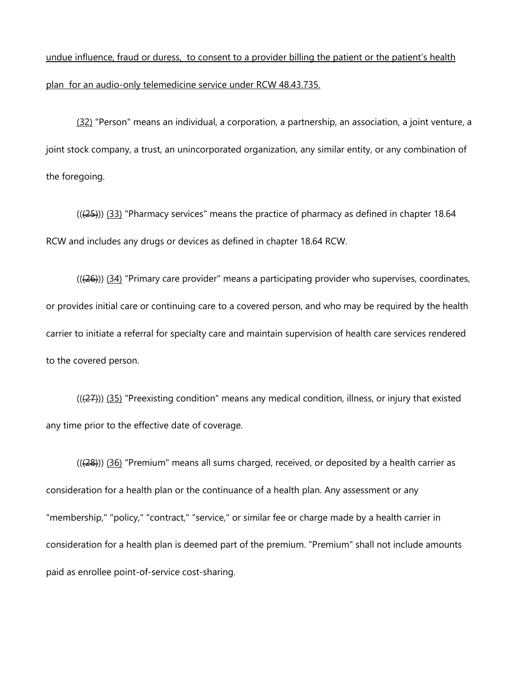## undue influence, fraud or duress, to consent to a provider billing the patient or the patient's health plan for an audio-only telemedicine service under RCW 48.43.735.

 joint stock company, a trust, an unincorporated organization, any similar entity, or any combination of (32) "Person" means an individual, a corporation, a partnership, an association, a joint venture, a the foregoing.

 $((25))$   $(33)$  "Pharmacy services" means the practice of pharmacy as defined in chapter 18.64 RCW and includes any drugs or devices as defined in chapter 18.64 RCW.

 $((26))$  (34) "Primary care provider" means a participating provider who supervises, coordinates, or provides initial care or continuing care to a covered person, and who may be required by the health carrier to initiate a referral for specialty care and maintain supervision of health care services rendered to the covered person.

 $((27))$  (35) "Preexisting condition" means any medical condition, illness, or injury that existed any time prior to the effective date of coverage.

((<del>(28)</del>)) <u>(36)</u> "Premium" means all sums charged, received, or deposited by a health carrier as consideration for a health plan or the continuance of a health plan. Any assessment or any "membership," "policy," "contract," "service," or similar fee or charge made by a health carrier in consideration for a health plan is deemed part of the premium. "Premium" shall not include amounts paid as enrollee point-of-service cost-sharing.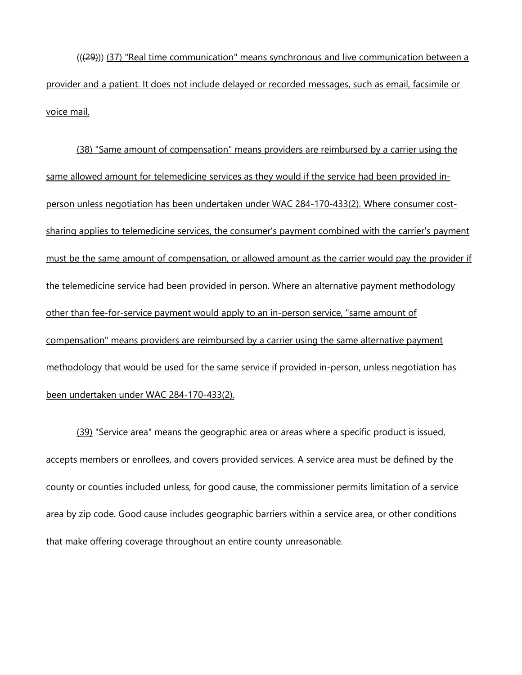(((29))) (37) "Real time communication" means synchronous and live communication between a provider and a patient. It does not include delayed or recorded messages, such as email, facsimile or voice mail.

(38) "Same amount of compensation" means providers are reimbursed by a carrier using the same allowed amount for telemedicine services as they would if the service had been provided inperson unless negotiation has been undertaken under WAC 284-170-433(2). Where consumer costsharing applies to telemedicine services, the consumer's payment combined with the carrier's payment must be the same amount of compensation, or allowed amount as the carrier would pay the provider if the telemedicine service had been provided in person. Where an alternative payment methodology other than fee-for-service payment would apply to an in-person service, "same amount of compensation" means providers are reimbursed by a carrier using the same alternative payment methodology that would be used for the same service if provided in-person, unless negotiation has been undertaken under WAC 284-170-433(2).

<u>(39)</u> "Service area" means the geographic area or areas where a specific product is issued, accepts members or enrollees, and covers provided services. A service area must be defined by the county or counties included unless, for good cause, the commissioner permits limitation of a service area by zip code. Good cause includes geographic barriers within a service area, or other conditions that make offering coverage throughout an entire county unreasonable.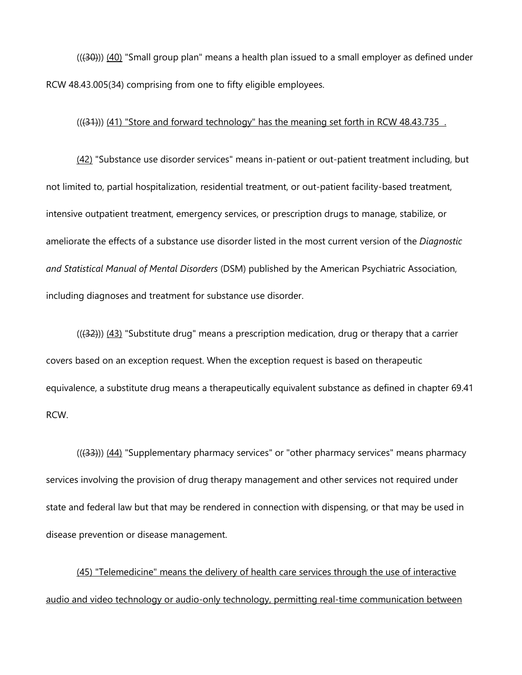$((30))$  (40) "Small group plan" means a health plan issued to a small employer as defined under RCW 48.43.005(34) comprising from one to fifty eligible employees.

(((31)) (41) "Store and forward technology" has the meaning set forth in RCW 48.43.735.

(42) "Substance use disorder services" means in-patient or out-patient treatment including, but not limited to, partial hospitalization, residential treatment, or out-patient facility-based treatment, intensive outpatient treatment, emergency services, or prescription drugs to manage, stabilize, or ameliorate the effects of a substance use disorder listed in the most current version of the *Diagnostic and Statistical Manual of Mental Disorders* (DSM) published by the American Psychiatric Association, including diagnoses and treatment for substance use disorder.

((<del>(32)</del>)) <u>(43)</u> "Substitute drug" means a prescription medication, drug or therapy that a carrier covers based on an exception request. When the exception request is based on therapeutic equivalence, a substitute drug means a therapeutically equivalent substance as defined in chapter 69.41 RCW.

 $((33))$   $(44)$  "Supplementary pharmacy services" or "other pharmacy services" means pharmacy services involving the provision of drug therapy management and other services not required under state and federal law but that may be rendered in connection with dispensing, or that may be used in disease prevention or disease management.

(45) "Telemedicine" means the delivery of health care services through the use of interactive audio and video technology or audio-only technology, permitting real-time communication between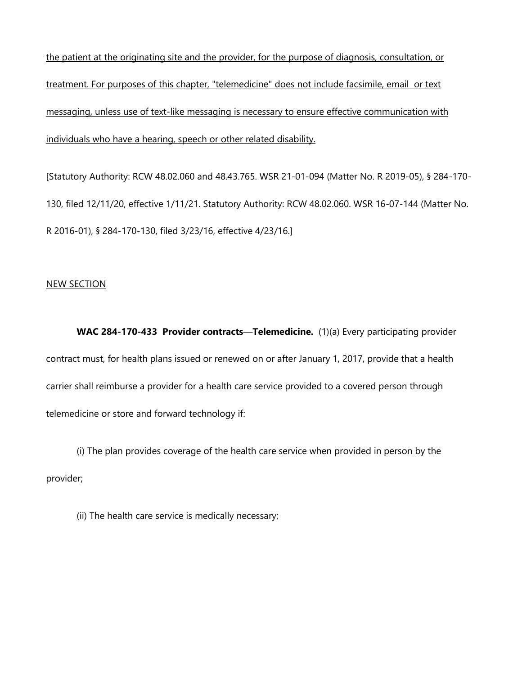treatment. For purposes of this chapter, "telemedicine" does not include facsimile, email or text the patient at the originating site and the provider, for the purpose of diagnosis, consultation, or messaging, unless use of text-like messaging is necessary to ensure effective communication with individuals who have a hearing, speech or other related disability.

[Statutory Authority: RCW 48.02.060 and 48.43.765. WSR 21-01-094 (Matter No. R 2019-05), § 284-170- 130, filed 12/11/20, effective 1/11/21. Statutory Authority: RCW 48.02.060. WSR 16-07-144 (Matter No. R 2016-01), § 284-170-130, filed 3/23/16, effective 4/23/16.]

## NEW SECTION

 **WAC 284-170-433 Provider contracts—Telemedicine.** (1)(a) Every participating provider contract must, for health plans issued or renewed on or after January 1, 2017, provide that a health carrier shall reimburse a provider for a health care service provided to a covered person through telemedicine or store and forward technology if:

(i) The plan provides coverage of the health care service when provided in person by the provider;

(ii) The health care service is medically necessary;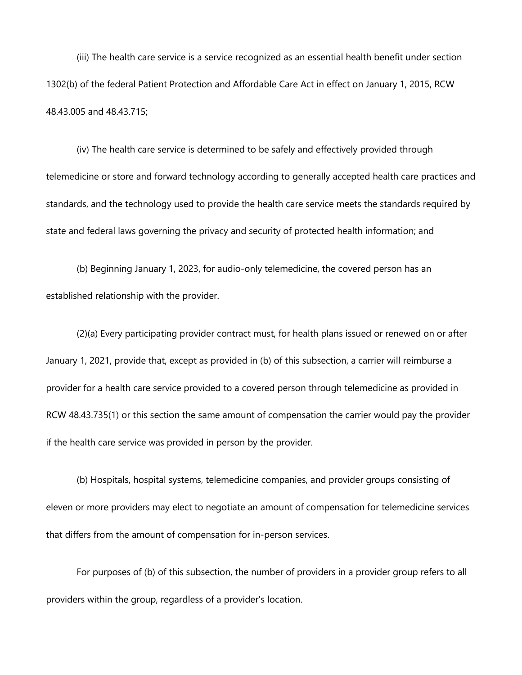(iii) The health care service is a service recognized as an essential health benefit under section 1302(b) of the federal Patient Protection and Affordable Care Act in effect on January 1, 2015, RCW 48.43.005 and 48.43.715;

(iv) The health care service is determined to be safely and effectively provided through telemedicine or store and forward technology according to generally accepted health care practices and standards, and the technology used to provide the health care service meets the standards required by state and federal laws governing the privacy and security of protected health information; and

 (b) Beginning January 1, 2023, for audio-only telemedicine, the covered person has an established relationship with the provider.

(2)(a) Every participating provider contract must, for health plans issued or renewed on or after January 1, 2021, provide that, except as provided in (b) of this subsection, a carrier will reimburse a provider for a health care service provided to a covered person through telemedicine as provided in RCW 48.43.735(1) or this section the same amount of compensation the carrier would pay the provider if the health care service was provided in person by the provider.

(b) Hospitals, hospital systems, telemedicine companies, and provider groups consisting of eleven or more providers may elect to negotiate an amount of compensation for telemedicine services that differs from the amount of compensation for in-person services.

 For purposes of (b) of this subsection, the number of providers in a provider group refers to all providers within the group, regardless of a provider's location.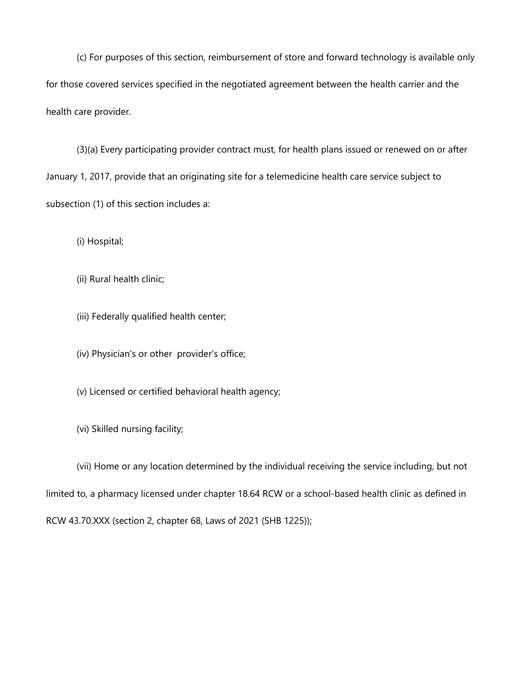(c) For purposes of this section, reimbursement of store and forward technology is available only for those covered services specified in the negotiated agreement between the health carrier and the health care provider.

(3)(a) Every participating provider contract must, for health plans issued or renewed on or after January 1, 2017, provide that an originating site for a telemedicine health care service subject to subsection (1) of this section includes a:

(i) Hospital;

(ii) Rural health clinic;

(iii) Federally qualified health center;

(iv) Physician's or other provider's office;

(v) Licensed or certified behavioral health agency;

(vi) Skilled nursing facility;

 RCW 43.70.XXX (section 2, chapter 68, Laws of 2021 (SHB 1225)); (vii) Home or any location determined by the individual receiving the service including, but not limited to, a pharmacy licensed under chapter 18.64 RCW or a school-based health clinic as defined in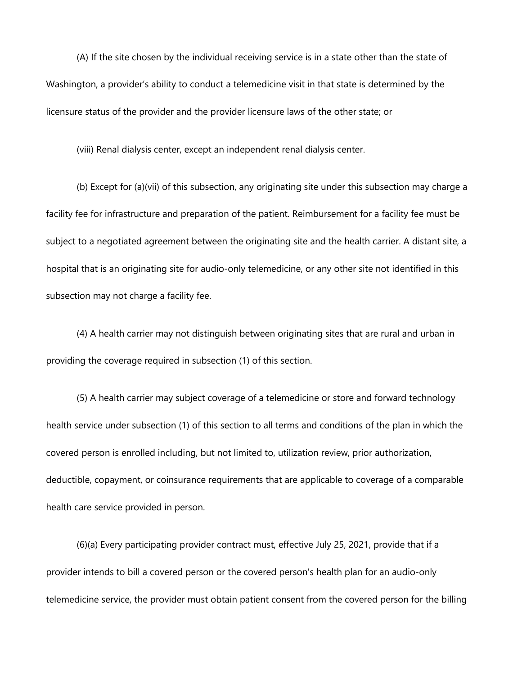(A) If the site chosen by the individual receiving service is in a state other than the state of Washington, a provider's ability to conduct a telemedicine visit in that state is determined by the licensure status of the provider and the provider licensure laws of the other state; or

(viii) Renal dialysis center, except an independent renal dialysis center.

(b) Except for (a)(vii) of this subsection, any originating site under this subsection may charge a facility fee for infrastructure and preparation of the patient. Reimbursement for a facility fee must be subject to a negotiated agreement between the originating site and the health carrier. A distant site, a hospital that is an originating site for audio-only telemedicine, or any other site not identified in this subsection may not charge a facility fee.

(4) A health carrier may not distinguish between originating sites that are rural and urban in providing the coverage required in subsection (1) of this section.

(5) A health carrier may subject coverage of a telemedicine or store and forward technology health service under subsection (1) of this section to all terms and conditions of the plan in which the covered person is enrolled including, but not limited to, utilization review, prior authorization, deductible, copayment, or coinsurance requirements that are applicable to coverage of a comparable health care service provided in person.

(6)(a) Every participating provider contract must, effective July 25, 2021, provide that if a provider intends to bill a covered person or the covered person's health plan for an audio-only telemedicine service, the provider must obtain patient consent from the covered person for the billing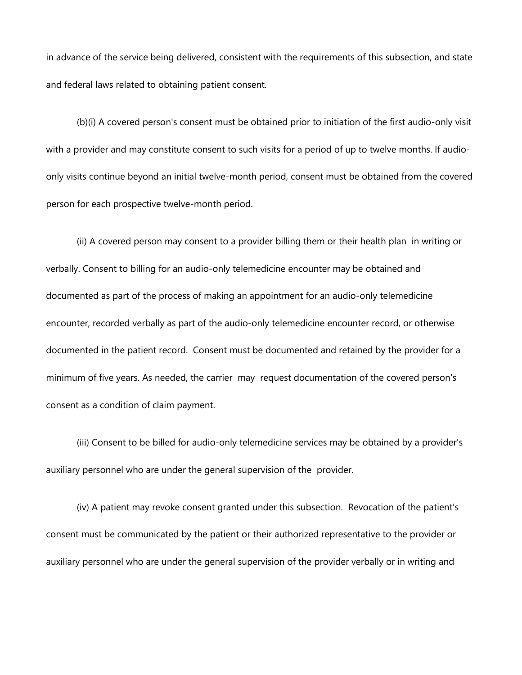in advance of the service being delivered, consistent with the requirements of this subsection, and state and federal laws related to obtaining patient consent.

 with a provider and may constitute consent to such visits for a period of up to twelve months. If audio-(b)(i) A covered person's consent must be obtained prior to initiation of the first audio-only visit only visits continue beyond an initial twelve-month period, consent must be obtained from the covered person for each prospective twelve-month period.

 encounter, recorded verbally as part of the audio-only telemedicine encounter record, or otherwise documented in the patient record. Consent must be documented and retained by the provider for a minimum of five years. As needed, the carrier may request documentation of the covered person's (ii) A covered person may consent to a provider billing them or their health plan in writing or verbally. Consent to billing for an audio-only telemedicine encounter may be obtained and documented as part of the process of making an appointment for an audio-only telemedicine consent as a condition of claim payment.

 auxiliary personnel who are under the general supervision of the provider. (iii) Consent to be billed for audio-only telemedicine services may be obtained by a provider's

(iv) A patient may revoke consent granted under this subsection. Revocation of the patient's consent must be communicated by the patient or their authorized representative to the provider or auxiliary personnel who are under the general supervision of the provider verbally or in writing and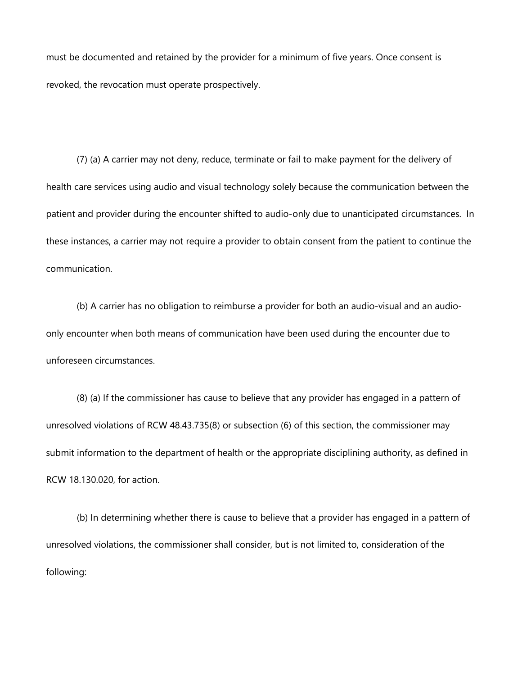must be documented and retained by the provider for a minimum of five years. Once consent is revoked, the revocation must operate prospectively.

communication. (7) (a) A carrier may not deny, reduce, terminate or fail to make payment for the delivery of health care services using audio and visual technology solely because the communication between the patient and provider during the encounter shifted to audio-only due to unanticipated circumstances. In these instances, a carrier may not require a provider to obtain consent from the patient to continue the

(b) A carrier has no obligation to reimburse a provider for both an audio-visual and an audioonly encounter when both means of communication have been used during the encounter due to unforeseen circumstances.

(8) (a) If the commissioner has cause to believe that any provider has engaged in a pattern of unresolved violations of RCW 48.43.735(8) or subsection (6) of this section, the commissioner may submit information to the department of health or the appropriate disciplining authority, as defined in RCW 18.130.020, for action.

(b) In determining whether there is cause to believe that a provider has engaged in a pattern of unresolved violations, the commissioner shall consider, but is not limited to, consideration of the following: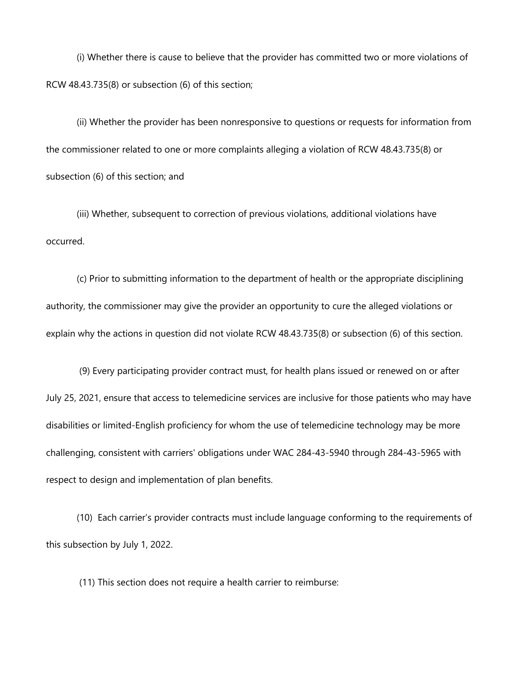(i) Whether there is cause to believe that the provider has committed two or more violations of RCW 48.43.735(8) or subsection (6) of this section;

 the commissioner related to one or more complaints alleging a violation of RCW 48.43.735(8) or (ii) Whether the provider has been nonresponsive to questions or requests for information from subsection (6) of this section; and

(iii) Whether, subsequent to correction of previous violations, additional violations have occurred.

(c) Prior to submitting information to the department of health or the appropriate disciplining authority, the commissioner may give the provider an opportunity to cure the alleged violations or explain why the actions in question did not violate RCW 48.43.735(8) or subsection (6) of this section.

 (9) Every participating provider contract must, for health plans issued or renewed on or after challenging, consistent with carriers' obligations under WAC 284-43-5940 through 284-43-5965 with July 25, 2021, ensure that access to telemedicine services are inclusive for those patients who may have disabilities or limited-English proficiency for whom the use of telemedicine technology may be more respect to design and implementation of plan benefits.

 this subsection by July 1, 2022. (10) Each carrier's provider contracts must include language conforming to the requirements of

(11) This section does not require a health carrier to reimburse: